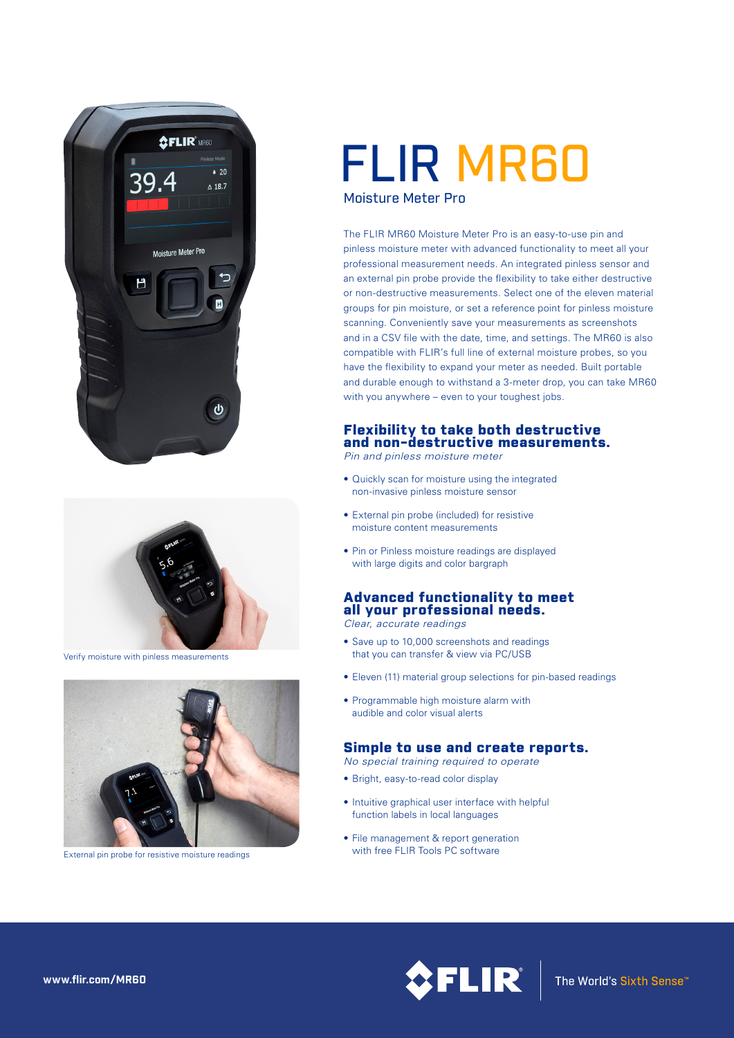



Verify moisture with pinless measurements



External pin probe for resistive moisture readings

# FLIR MR60

Moisture Meter Pro

The FLIR MR60 Moisture Meter Pro is an easy-to-use pin and pinless moisture meter with advanced functionality to meet all your professional measurement needs. An integrated pinless sensor and an external pin probe provide the flexibility to take either destructive or non-destructive measurements. Select one of the eleven material groups for pin moisture, or set a reference point for pinless moisture scanning. Conveniently save your measurements as screenshots and in a CSV file with the date, time, and settings. The MR60 is also compatible with FLIR's full line of external moisture probes, so you have the flexibility to expand your meter as needed. Built portable and durable enough to withstand a 3-meter drop, you can take MR60 with you anywhere – even to your toughest jobs.

## Flexibility to take both destructive and non-destructive measurements.

*Pin and pinless moisture meter*

- Quickly scan for moisture using the integrated non-invasive pinless moisture sensor
- External pin probe (included) for resistive moisture content measurements
- Pin or Pinless moisture readings are displayed with large digits and color bargraph

## Advanced functionality to meet all your professional needs.

*Clear, accurate readings*

- Save up to 10,000 screenshots and readings that you can transfer & view via PC/USB
- Eleven (11) material group selections for pin‐based readings
- Programmable high moisture alarm with audible and color visual alerts

# Simple to use and create reports.

*No special training required to operate*

- Bright, easy-to-read color display
- Intuitive graphical user interface with helpful function labels in local languages
- File management & report generation



**www.flir.com/MR60**